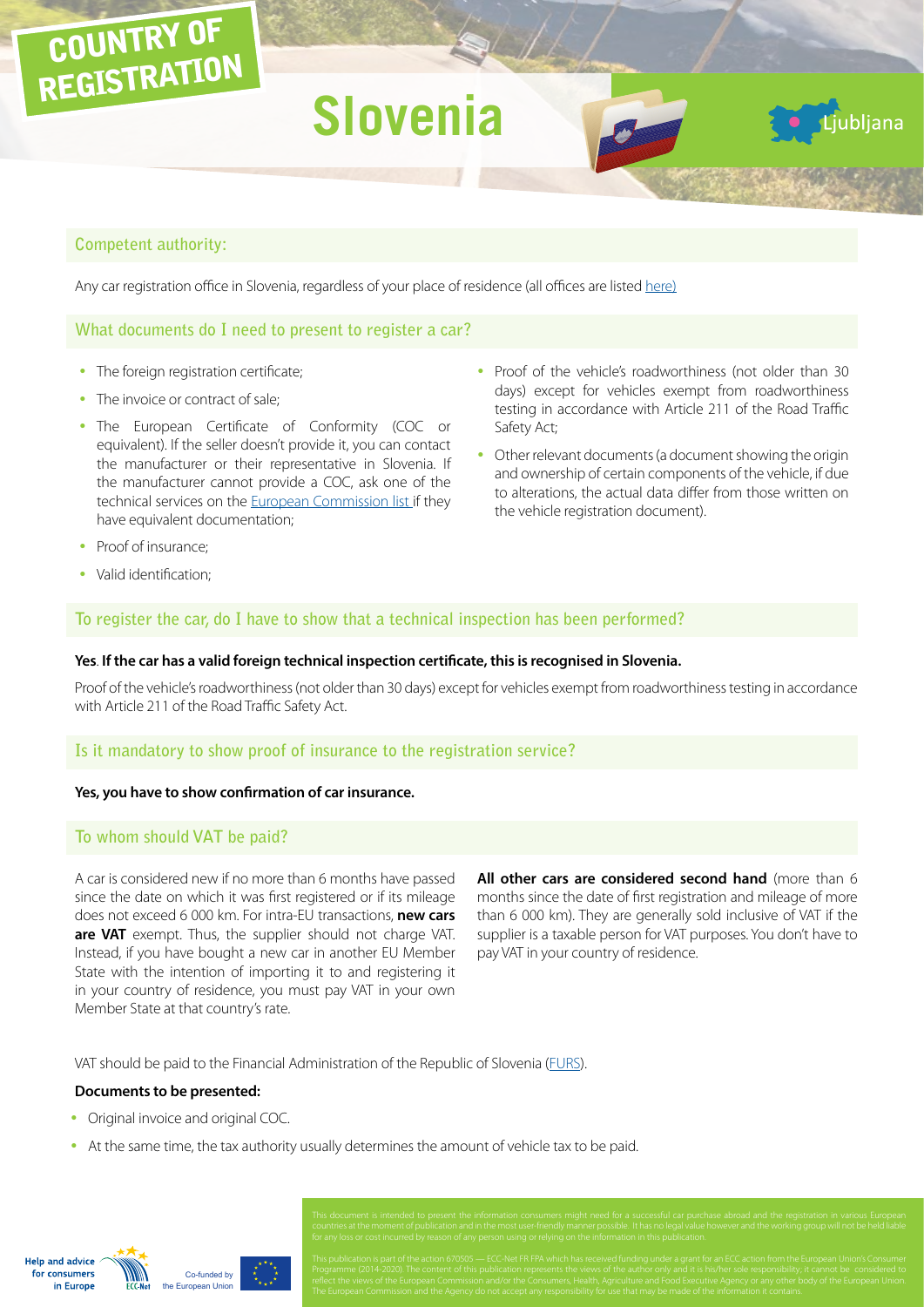# **Slovenia**

## **Competent authority:**

COUNTRY OF

REGISTRATION

Any car registration office in Slovenia, regardless of your place of residence (all offices are listed [here](http://www.avp-rs.si/wp-content/uploads/2012/02/Registracijske_organizacije-internet-15.7.2014.pdf))

#### **What documents do I need to present to register a car?**

- The foreign registration certificate;
- The invoice or contract of sale;
- The European Certificate of Conformity (COC or equivalent). If the seller doesn't provide it, you can contact the manufacturer or their representative in Slovenia. If the manufacturer cannot provide a COC, ask one of the technical services on the [European Commission list](http://ec.europa.eu/DocsRoom/documents/10942) if they have equivalent documentation;
- Proof of the vehicle's roadworthiness (not older than 30 days) except for vehicles exempt from roadworthiness testing in accordance with Article 211 of the Road Traffic Safety Act;

Ljubljana

• Other relevant documents (a document showing the origin and ownership of certain components of the vehicle, if due to alterations, the actual data differ from those written on the vehicle registration document).

- Proof of insurance;
- Valid identification:

#### **To register the car, do I have to show that a technical inspection has been performed?**

#### **Yes**. **If the car has a valid foreign technical inspection certificate, this is recognised in Slovenia.**

Proof of the vehicle's roadworthiness (not older than 30 days) except for vehicles exempt from roadworthiness testing in accordance with Article 211 of the Road Traffic Safety Act.

## **Is it mandatory to show proof of insurance to the registration service?**

#### **Yes, you have to show confirmation of car insurance.**

#### **To whom should VAT be paid?**

A car is considered new if no more than 6 months have passed since the date on which it was first registered or if its mileage does not exceed 6 000 km. For intra-EU transactions, **new cars are VAT** exempt. Thus, the supplier should not charge VAT. Instead, if you have bought a new car in another EU Member State with the intention of importing it to and registering it in your country of residence, you must pay VAT in your own Member State at that country's rate.

**All other cars are considered second hand** (more than 6 months since the date of first registration and mileage of more than 6 000 km). They are generally sold inclusive of VAT if the supplier is a taxable person for VAT purposes. You don't have to pay VAT in your country of residence.

VAT should be paid to the Financial Administration of the Republic of Slovenia ([FURS](http://www.fu.gov.si/en/)).

#### **Documents to be presented:**

- Original invoice and original COC.
- At the same time, the tax authority usually determines the amount of vehicle tax to be paid.